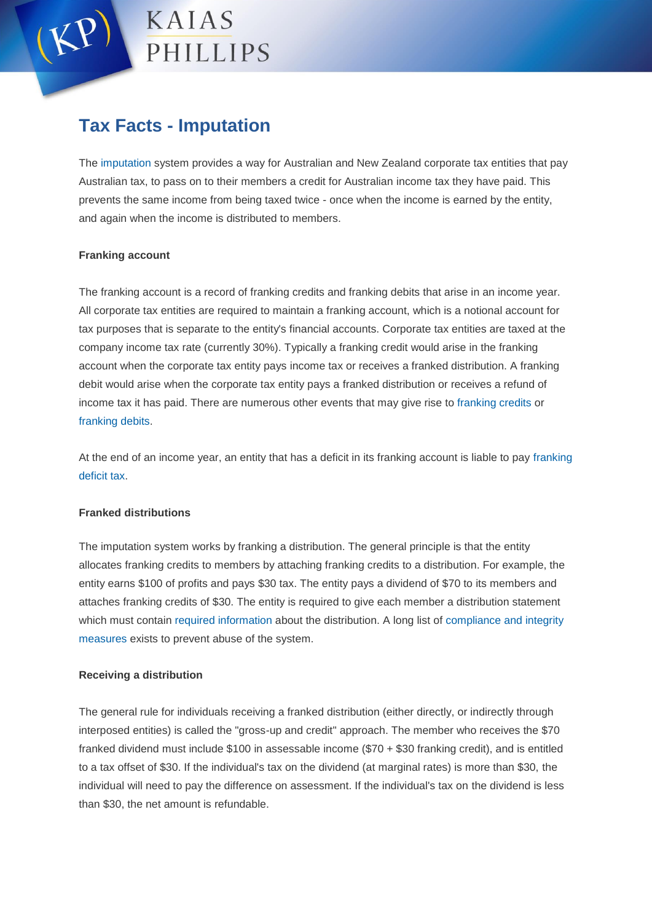

# **Tax Facts - Imputation**

The [imputation](https://www.ato.gov.au/Business/Imputation/In-detail/Dividends---imputation/Reference-guide/Imputation-reference-guide/) system provides a way for Australian and New Zealand corporate tax entities that pay Australian tax, to pass on to their members a credit for Australian income tax they have paid. This prevents the same income from being taxed twice - once when the income is earned by the entity, and again when the income is distributed to members.

### **Franking account**

The franking account is a record of franking credits and franking debits that arise in an income year. All corporate tax entities are required to maintain a franking account, which is a notional account for tax purposes that is separate to the entity's financial accounts. Corporate tax entities are taxed at the company income tax rate (currently 30%). Typically a franking credit would arise in the franking account when the corporate tax entity pays income tax or receives a franked distribution. A franking debit would arise when the corporate tax entity pays a franked distribution or receives a refund of income tax it has paid. There are numerous other events that may give rise to [franking credits](https://www.ato.gov.au/Business/Imputation/In-detail/Dividends---imputation/Reference-guide/Imputation-reference-guide/?page=14#Franking_credits) or [franking debits.](https://www.ato.gov.au/Business/Imputation/In-detail/Dividends---imputation/Reference-guide/Imputation-reference-guide/?page=14#Franking_debits)

At the end of an income year, an entity that has a deficit in its franking account is liable to pay [franking](https://www.ato.gov.au/Business/Imputation/In-detail/Dividends---imputation/Reference-guide/Imputation-reference-guide/?page=15#Franking_deficit_tax)  [deficit tax.](https://www.ato.gov.au/Business/Imputation/In-detail/Dividends---imputation/Reference-guide/Imputation-reference-guide/?page=15#Franking_deficit_tax)

## **Franked distributions**

The imputation system works by franking a distribution. The general principle is that the entity allocates franking credits to members by attaching franking credits to a distribution. For example, the entity earns \$100 of profits and pays \$30 tax. The entity pays a dividend of \$70 to its members and attaches franking credits of \$30. The entity is required to give each member a distribution statement which must contain [required information](https://www.ato.gov.au/Business/Imputation/In-detail/Dividends---imputation/Reference-guide/Imputation-reference-guide/?page=59#Required_information) about the distribution. A long list of [compliance and integrity](https://www.ato.gov.au/Business/Imputation/In-detail/Dividends---imputation/Reference-guide/Imputation-reference-guide/?page=19#Franking_distributions)  [measures](https://www.ato.gov.au/Business/Imputation/In-detail/Dividends---imputation/Reference-guide/Imputation-reference-guide/?page=19#Franking_distributions) exists to prevent abuse of the system.

## **Receiving a distribution**

The general rule for individuals receiving a franked distribution (either directly, or indirectly through interposed entities) is called the "gross-up and credit" approach. The member who receives the \$70 franked dividend must include \$100 in assessable income (\$70 + \$30 franking credit), and is entitled to a tax offset of \$30. If the individual's tax on the dividend (at marginal rates) is more than \$30, the individual will need to pay the difference on assessment. If the individual's tax on the dividend is less than \$30, the net amount is refundable.